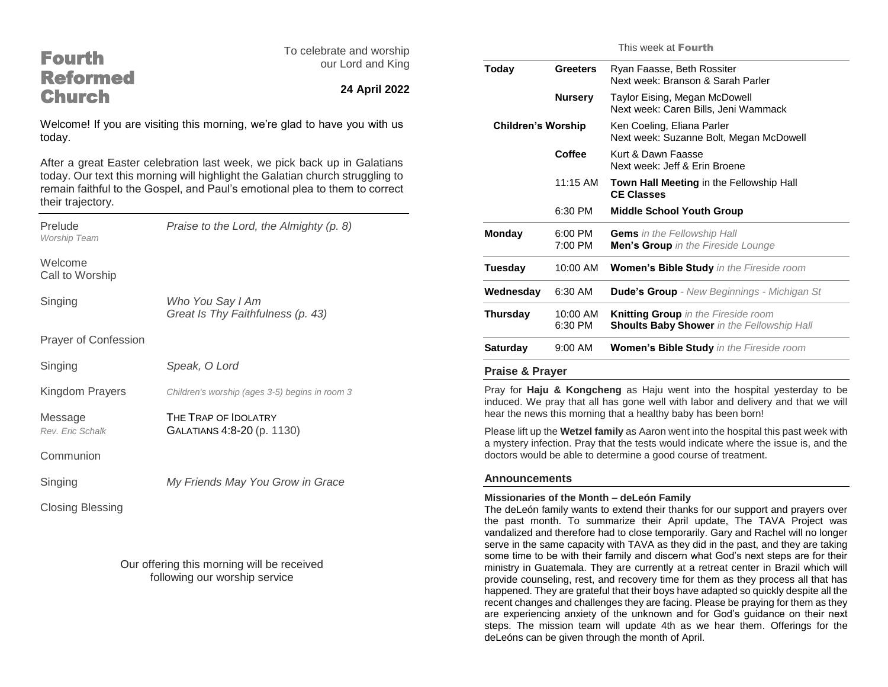| <b>Fourth</b>                                                                                                                                                                                                                                                 | To celebrate and worship<br>our Lord and King<br>24 April 2022 | This week at <b>Fourth</b>                                                                                                                                                                                                                                                                                                                                                                              |                     |                                                                                   |
|---------------------------------------------------------------------------------------------------------------------------------------------------------------------------------------------------------------------------------------------------------------|----------------------------------------------------------------|---------------------------------------------------------------------------------------------------------------------------------------------------------------------------------------------------------------------------------------------------------------------------------------------------------------------------------------------------------------------------------------------------------|---------------------|-----------------------------------------------------------------------------------|
| <b>Reformed</b><br><b>Church</b>                                                                                                                                                                                                                              |                                                                | <b>Today</b>                                                                                                                                                                                                                                                                                                                                                                                            | <b>Greeters</b>     | Ryan Faasse, Beth Rossiter<br>Next week: Branson & Sarah Parler                   |
|                                                                                                                                                                                                                                                               |                                                                |                                                                                                                                                                                                                                                                                                                                                                                                         | <b>Nursery</b>      | Taylor Eising, Megan McDowell<br>Next week: Caren Bills, Jeni Wammack             |
| Welcome! If you are visiting this morning, we're glad to have you with us<br>today.                                                                                                                                                                           |                                                                | <b>Children's Worship</b>                                                                                                                                                                                                                                                                                                                                                                               |                     | Ken Coeling, Eliana Parler<br>Next week: Suzanne Bolt, Megan McDowell             |
| After a great Easter celebration last week, we pick back up in Galatians<br>today. Our text this morning will highlight the Galatian church struggling to<br>remain faithful to the Gospel, and Paul's emotional plea to them to correct<br>their trajectory. |                                                                |                                                                                                                                                                                                                                                                                                                                                                                                         | Coffee              | Kurt & Dawn Faasse<br>Next week: Jeff & Erin Broene                               |
|                                                                                                                                                                                                                                                               |                                                                |                                                                                                                                                                                                                                                                                                                                                                                                         | 11:15 AM            | <b>Town Hall Meeting in the Fellowship Hall</b><br><b>CE Classes</b>              |
|                                                                                                                                                                                                                                                               |                                                                |                                                                                                                                                                                                                                                                                                                                                                                                         | 6:30 PM             | <b>Middle School Youth Group</b>                                                  |
| Prelude<br>Worship Team                                                                                                                                                                                                                                       | Praise to the Lord, the Almighty (p. 8)                        | <b>Monday</b>                                                                                                                                                                                                                                                                                                                                                                                           | 6:00 PM<br>7:00 PM  | <b>Gems</b> in the Fellowship Hall<br>Men's Group in the Fireside Lounge          |
| Welcome<br>Call to Worship                                                                                                                                                                                                                                    |                                                                | Tuesday                                                                                                                                                                                                                                                                                                                                                                                                 | 10:00 AM            | Women's Bible Study in the Fireside room                                          |
| Singing                                                                                                                                                                                                                                                       | Who You Say I Am                                               | Wednesday                                                                                                                                                                                                                                                                                                                                                                                               | 6:30 AM             | <b>Dude's Group</b> - New Beginnings - Michigan St                                |
|                                                                                                                                                                                                                                                               | Great Is Thy Faithfulness (p. 43)                              | <b>Thursday</b>                                                                                                                                                                                                                                                                                                                                                                                         | 10:00 AM<br>6:30 PM | Knitting Group in the Fireside room<br>Shoults Baby Shower in the Fellowship Hall |
| Prayer of Confession                                                                                                                                                                                                                                          |                                                                | <b>Saturday</b>                                                                                                                                                                                                                                                                                                                                                                                         | 9:00 AM             | Women's Bible Study in the Fireside room                                          |
| Singing                                                                                                                                                                                                                                                       | Speak, O Lord                                                  | <b>Praise &amp; Prayer</b>                                                                                                                                                                                                                                                                                                                                                                              |                     |                                                                                   |
| Kingdom Prayers                                                                                                                                                                                                                                               | Children's worship (ages 3-5) begins in room 3                 | Pray for Haju & Kongcheng as Haju went into the hospital yesterday to be<br>induced. We pray that all has gone well with labor and delivery and that we will                                                                                                                                                                                                                                            |                     |                                                                                   |
| Message                                                                                                                                                                                                                                                       | THE TRAP OF IDOLATRY                                           | hear the news this morning that a healthy baby has been born!<br>Please lift up the Wetzel family as Aaron went into the hospital this past week with<br>a mystery infection. Pray that the tests would indicate where the issue is, and the                                                                                                                                                            |                     |                                                                                   |
| Rev. Eric Schalk                                                                                                                                                                                                                                              | GALATIANS 4:8-20 (p. 1130)                                     |                                                                                                                                                                                                                                                                                                                                                                                                         |                     |                                                                                   |
| Communion                                                                                                                                                                                                                                                     |                                                                |                                                                                                                                                                                                                                                                                                                                                                                                         |                     | doctors would be able to determine a good course of treatment.                    |
| Singing                                                                                                                                                                                                                                                       | My Friends May You Grow in Grace                               | <b>Announcements</b><br>Missionaries of the Month - deLeón Family<br>The deLeón family wants to extend their thanks for our support and prayers over<br>the past month. To summarize their April update, The TAVA Project was<br>vandalized and therefore had to close temporarily. Gary and Rachel will no longer<br>serve in the same capacity with TAVA as they did in the past, and they are taking |                     |                                                                                   |
| <b>Closing Blessing</b>                                                                                                                                                                                                                                       |                                                                |                                                                                                                                                                                                                                                                                                                                                                                                         |                     |                                                                                   |

Our offering this morning will be received following our worship service

> recent changes and challenges they are facing. Please be praying for them as they are experiencing anxiety of the unknown and for God's guidance on their next steps. The mission team will update 4th as we hear them. Offerings for the deLeóns can be given through the month of April.

some time to be with their family and discern what God's next steps are for their ministry in Guatemala. They are currently at a retreat center in Brazil which will provide counseling, rest, and recovery time for them as they process all that has happened. They are grateful that their boys have adapted so quickly despite all the